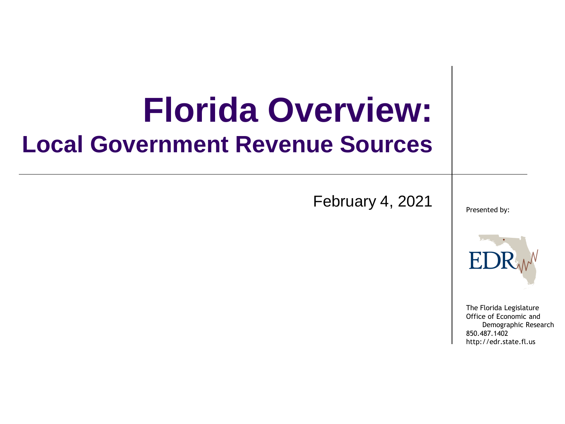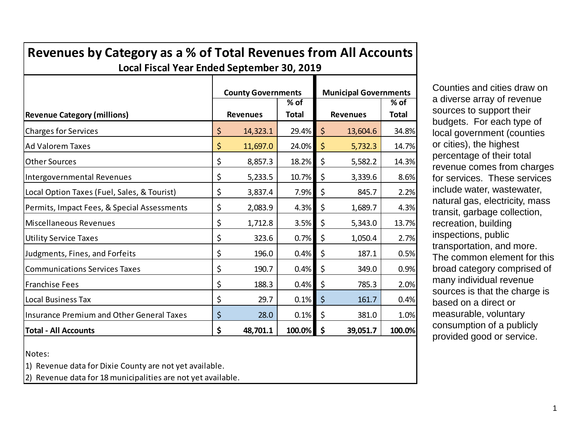| Local Fiscal Year Ended September 30, 2019       |    |                                              |                        |                                                 |          |                        |  |  |  |
|--------------------------------------------------|----|----------------------------------------------|------------------------|-------------------------------------------------|----------|------------------------|--|--|--|
| <b>Revenue Category (millions)</b>               |    | <b>County Governments</b><br><b>Revenues</b> | $%$ of<br><b>Total</b> | <b>Municipal Governments</b><br><b>Revenues</b> |          | $%$ of<br><b>Total</b> |  |  |  |
| <b>Charges for Services</b>                      | \$ | 14,323.1                                     | 29.4%                  | \$                                              | 13,604.6 | 34.8%                  |  |  |  |
| <b>Ad Valorem Taxes</b>                          | \$ | 11,697.0                                     | 24.0%                  | \$                                              | 5,732.3  | 14.7%                  |  |  |  |
| <b>Other Sources</b>                             | \$ | 8,857.3                                      | 18.2%                  | \$                                              | 5,582.2  | 14.3%                  |  |  |  |
| Intergovernmental Revenues                       | \$ | 5,233.5                                      | 10.7%                  | \$                                              | 3,339.6  | 8.6%                   |  |  |  |
| Local Option Taxes (Fuel, Sales, & Tourist)      | \$ | 3,837.4                                      | 7.9%                   | \$                                              | 845.7    | 2.2%                   |  |  |  |
| Permits, Impact Fees, & Special Assessments      | \$ | 2,083.9                                      | 4.3%                   | \$                                              | 1,689.7  | 4.3%                   |  |  |  |
| <b>Miscellaneous Revenues</b>                    | \$ | 1,712.8                                      | 3.5%                   | \$                                              | 5,343.0  | 13.7%                  |  |  |  |
| <b>Utility Service Taxes</b>                     | \$ | 323.6                                        | 0.7%                   | \$                                              | 1,050.4  | 2.7%                   |  |  |  |
| Judgments, Fines, and Forfeits                   | \$ | 196.0                                        | 0.4%                   | \$                                              | 187.1    | 0.5%                   |  |  |  |
| <b>Communications Services Taxes</b>             | \$ | 190.7                                        | 0.4%                   | \$                                              | 349.0    | 0.9%                   |  |  |  |
| <b>Franchise Fees</b>                            | \$ | 188.3                                        | 0.4%                   | \$                                              | 785.3    | 2.0%                   |  |  |  |
| <b>Local Business Tax</b>                        | \$ | 29.7                                         | 0.1%                   | \$                                              | 161.7    | 0.4%                   |  |  |  |
| <b>Insurance Premium and Other General Taxes</b> | \$ | 28.0                                         | 0.1%                   | \$                                              | 381.0    | 1.0%                   |  |  |  |
| <b>Total - All Accounts</b>                      | \$ | 48,701.1                                     | 100.0%                 | \$                                              | 39,051.7 | 100.0%                 |  |  |  |

**Revenues by Category as a % of Total Revenues from All Accounts**

Notes:

1) Revenue data for Dixie County are not yet available.

2) Revenue data for 18 municipalities are not yet available.

Counties and cities draw on a diverse array of revenue sources to support their budgets. For each type of local government (counties or cities), the highest percentage of their total revenue comes from charges for services. These services include water, wastewater, natural gas, electricity, mass transit, garbage collection, recreation, building inspections, public transportation, and more. The common element for this broad category comprised of many individual revenue sources is that the charge is based on a direct or measurable, voluntary consumption of a publicly provided good or service.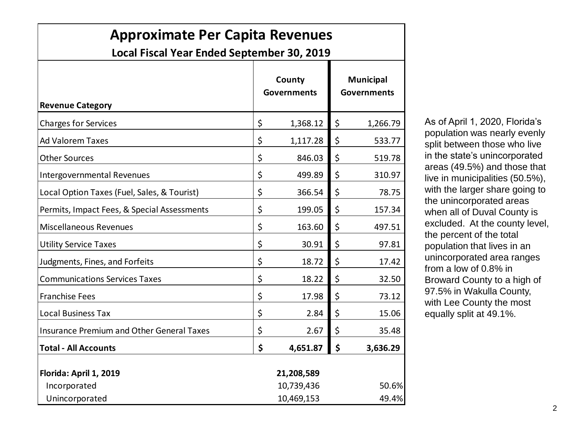| <b>Approximate Per Capita Revenues</b><br>Local Fiscal Year Ended September 30, 2019 |    |                              |    |                                        |  |  |  |  |
|--------------------------------------------------------------------------------------|----|------------------------------|----|----------------------------------------|--|--|--|--|
| <b>Revenue Category</b>                                                              |    | County<br><b>Governments</b> |    | <b>Municipal</b><br><b>Governments</b> |  |  |  |  |
| <b>Charges for Services</b>                                                          | \$ | 1,368.12                     | \$ | 1,266.79                               |  |  |  |  |
| <b>Ad Valorem Taxes</b>                                                              | \$ | 1,117.28                     | \$ | 533.77                                 |  |  |  |  |
| <b>Other Sources</b>                                                                 | \$ | 846.03                       | \$ | 519.78                                 |  |  |  |  |
| <b>Intergovernmental Revenues</b>                                                    | \$ | 499.89                       | \$ | 310.97                                 |  |  |  |  |
| Local Option Taxes (Fuel, Sales, & Tourist)                                          | \$ | 366.54                       | \$ | 78.75                                  |  |  |  |  |
| Permits, Impact Fees, & Special Assessments                                          | \$ | 199.05                       | \$ | 157.34                                 |  |  |  |  |
| <b>Miscellaneous Revenues</b>                                                        | \$ | 163.60                       | \$ | 497.51                                 |  |  |  |  |
| <b>Utility Service Taxes</b>                                                         | \$ | 30.91                        | \$ | 97.81                                  |  |  |  |  |
| Judgments, Fines, and Forfeits                                                       | \$ | 18.72                        | \$ | 17.42                                  |  |  |  |  |
| <b>Communications Services Taxes</b>                                                 | \$ | 18.22                        | \$ | 32.50                                  |  |  |  |  |
| <b>Franchise Fees</b>                                                                | \$ | 17.98                        | \$ | 73.12                                  |  |  |  |  |
| <b>Local Business Tax</b>                                                            | \$ | 2.84                         | \$ | 15.06                                  |  |  |  |  |
| <b>Insurance Premium and Other General Taxes</b>                                     | \$ | 2.67                         | \$ | 35.48                                  |  |  |  |  |
| <b>Total - All Accounts</b>                                                          | \$ | 4,651.87                     | \$ | 3,636.29                               |  |  |  |  |
| Florida: April 1, 2019                                                               |    | 21,208,589                   |    |                                        |  |  |  |  |
| Incorporated                                                                         |    | 10,739,436<br>50.6%          |    |                                        |  |  |  |  |
| Unincorporated                                                                       |    | 49.4%<br>10,469,153          |    |                                        |  |  |  |  |

As of April 1, 2020, Florida's population was nearly evenly split between those who live in the state's unincorporated areas (49.5%) and those that live in municipalities (50.5%), with the larger share going to the unincorporated areas when all of Duval County is excluded. At the county level, the percent of the total population that lives in an unincorporated area ranges from a low of 0.8% in Broward County to a high of 97.5% in Wakulla County, with Lee County the most equally split at 49.1%.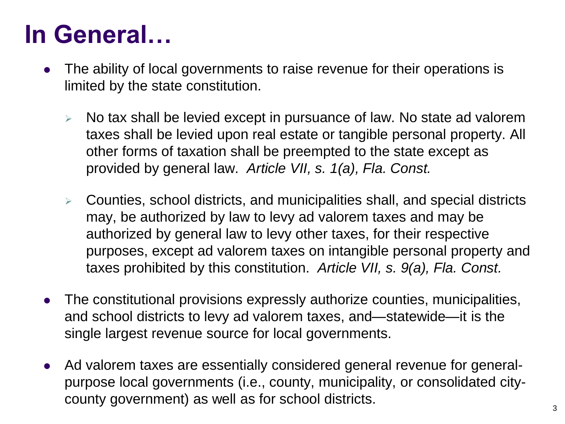## **In General…**

- The ability of local governments to raise revenue for their operations is limited by the state constitution.
	- $\triangleright$  No tax shall be levied except in pursuance of law. No state ad valorem taxes shall be levied upon real estate or tangible personal property. All other forms of taxation shall be preempted to the state except as provided by general law. *Article VII, s. 1(a), Fla. Const.*
	- $\triangleright$  Counties, school districts, and municipalities shall, and special districts may, be authorized by law to levy ad valorem taxes and may be authorized by general law to levy other taxes, for their respective purposes, except ad valorem taxes on intangible personal property and taxes prohibited by this constitution. *Article VII, s. 9(a), Fla. Const.*
- The constitutional provisions expressly authorize counties, municipalities, and school districts to levy ad valorem taxes, and—statewide—it is the single largest revenue source for local governments.
- Ad valorem taxes are essentially considered general revenue for generalpurpose local governments (i.e., county, municipality, or consolidated citycounty government) as well as for school districts.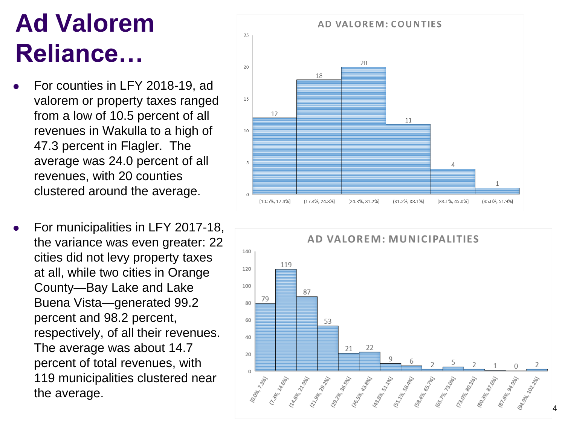# **Ad Valorem Reliance…**

- For counties in LFY 2018-19, ad valorem or property taxes ranged from a low of 10.5 percent of all revenues in Wakulla to a high of 47.3 percent in Flagler. The average was 24.0 percent of all revenues, with 20 counties clustered around the average.
- For municipalities in LFY 2017-18, the variance was even greater: 22 cities did not levy property taxes at all, while two cities in Orange County —Bay Lake and Lake Buena Vista —generated 99.2 percent and 98.2 percent, respectively, of all their revenues. The average was about 14.7 percent of total revenues, with 119 municipalities clustered near the average.



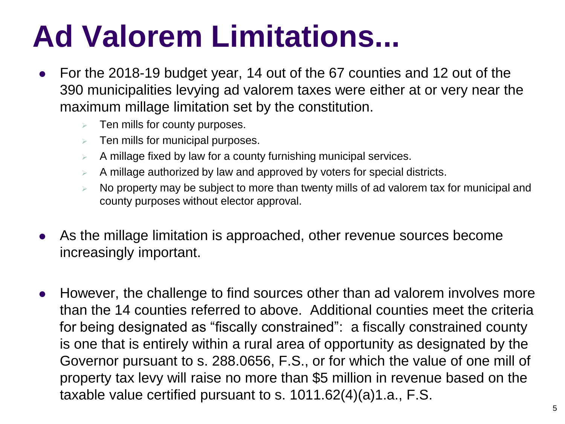# **Ad Valorem Limitations...**

- For the 2018-19 budget year, 14 out of the 67 counties and 12 out of the 390 municipalities levying ad valorem taxes were either at or very near the maximum millage limitation set by the constitution.
	- $\triangleright$  Ten mills for county purposes.
	- $\triangleright$  Ten mills for municipal purposes.
	- $\triangleright$  A millage fixed by law for a county furnishing municipal services.
	- A millage authorized by law and approved by voters for special districts.
	- No property may be subject to more than twenty mills of ad valorem tax for municipal and county purposes without elector approval.
- As the millage limitation is approached, other revenue sources become increasingly important.
- However, the challenge to find sources other than ad valorem involves more than the 14 counties referred to above. Additional counties meet the criteria for being designated as "fiscally constrained": a fiscally constrained county is one that is entirely within a rural area of opportunity as designated by the Governor pursuant to s. 288.0656, F.S., or for which the value of one mill of property tax levy will raise no more than \$5 million in revenue based on the taxable value certified pursuant to s. 1011.62(4)(a)1.a., F.S.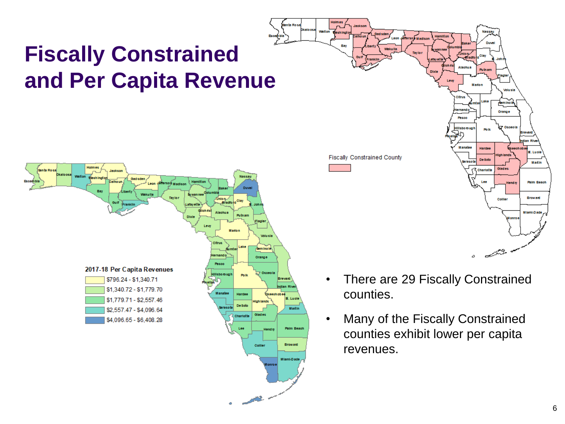

- **Putnan** .<br>Madon Orange Pasos .<br>Ilisbo rough Boll **Manafee Fiscally Constrained County** De Soto arasota Martin Glades :harloff **Palm Beac** Broward Collier Miami-Dade سيبيح
- There are 29 Fiscally Constrained counties.
- Many of the Fiscally Constrained counties exhibit lower per capita revenues.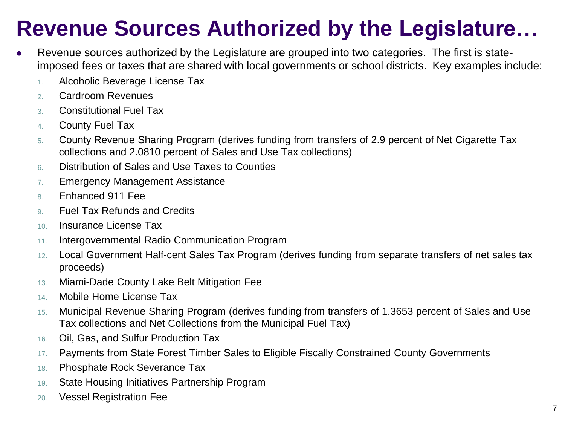## **Revenue Sources Authorized by the Legislature…**

- Revenue sources authorized by the Legislature are grouped into two categories. The first is stateimposed fees or taxes that are shared with local governments or school districts. Key examples include:
	- 1. Alcoholic Beverage License Tax
	- 2. Cardroom Revenues
	- 3. Constitutional Fuel Tax
	- 4. County Fuel Tax
	- 5. County Revenue Sharing Program (derives funding from transfers of 2.9 percent of Net Cigarette Tax collections and 2.0810 percent of Sales and Use Tax collections)
	- 6. Distribution of Sales and Use Taxes to Counties
	- 7. Emergency Management Assistance
	- 8. Enhanced 911 Fee
	- 9. Fuel Tax Refunds and Credits
	- 10. Insurance License Tax
	- 11. Intergovernmental Radio Communication Program
	- 12. Local Government Half-cent Sales Tax Program (derives funding from separate transfers of net sales tax proceeds)
	- 13. Miami-Dade County Lake Belt Mitigation Fee
	- 14. Mobile Home License Tax
	- 15. Municipal Revenue Sharing Program (derives funding from transfers of 1.3653 percent of Sales and Use Tax collections and Net Collections from the Municipal Fuel Tax)
	- 16. Oil, Gas, and Sulfur Production Tax
	- 17. Payments from State Forest Timber Sales to Eligible Fiscally Constrained County Governments
	- 18. Phosphate Rock Severance Tax
	- 19. State Housing Initiatives Partnership Program
	- 20. Vessel Registration Fee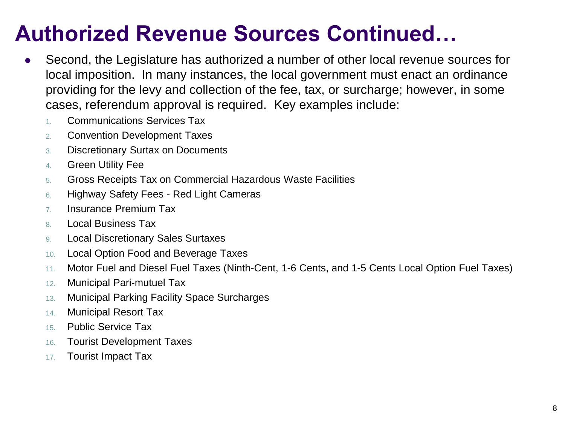### **Authorized Revenue Sources Continued…**

- Second, the Legislature has authorized a number of other local revenue sources for local imposition. In many instances, the local government must enact an ordinance providing for the levy and collection of the fee, tax, or surcharge; however, in some cases, referendum approval is required. Key examples include:
	- 1. Communications Services Tax
	- 2. Convention Development Taxes
	- 3. Discretionary Surtax on Documents
	- 4. Green Utility Fee
	- 5. Gross Receipts Tax on Commercial Hazardous Waste Facilities
	- 6. Highway Safety Fees Red Light Cameras
	- 7. Insurance Premium Tax
	- 8. Local Business Tax
	- 9. Local Discretionary Sales Surtaxes
	- 10. Local Option Food and Beverage Taxes
	- 11. Motor Fuel and Diesel Fuel Taxes (Ninth-Cent, 1-6 Cents, and 1-5 Cents Local Option Fuel Taxes)
	- 12. Municipal Pari-mutuel Tax
	- 13. Municipal Parking Facility Space Surcharges
	- 14. Municipal Resort Tax
	- 15. Public Service Tax
	- 16. Tourist Development Taxes
	- 17. Tourist Impact Tax